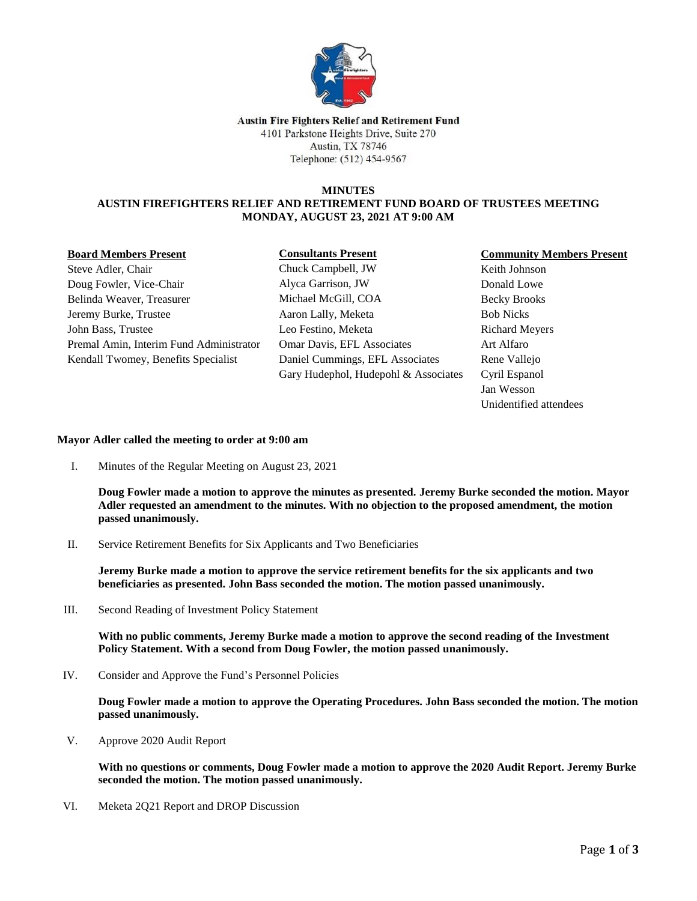

### **Austin Fire Fighters Relief and Retirement Fund** 4101 Parkstone Heights Drive, Suite 270 Austin, TX 78746 Telephone: (512) 454-9567

### **MINUTES AUSTIN FIREFIGHTERS RELIEF AND RETIREMENT FUND BOARD OF TRUSTEES MEETING MONDAY, AUGUST 23, 2021 AT 9:00 AM**

### **Board Members Present**

## **Consultants Present**

Steve Adler, Chair Doug Fowler, Vice-Chair Belinda Weaver, Treasurer Jeremy Burke, Trustee John Bass, Trustee Premal Amin, Interim Fund Administrator Kendall Twomey, Benefits Specialist

Chuck Campbell, JW Alyca Garrison, JW Michael McGill, COA Aaron Lally, Meketa Leo Festino, Meketa Omar Davis, EFL Associates Daniel Cummings, EFL Associates Gary Hudephol, Hudepohl & Associates

# **Community Members Present**

Keith Johnson Donald Lowe Becky Brooks Bob Nicks Richard Meyers Art Alfaro Rene Vallejo Cyril Espanol Jan Wesson Unidentified attendees

### **Mayor Adler called the meeting to order at 9:00 am**

I. Minutes of the Regular Meeting on August 23, 2021

**Doug Fowler made a motion to approve the minutes as presented. Jeremy Burke seconded the motion. Mayor Adler requested an amendment to the minutes. With no objection to the proposed amendment, the motion passed unanimously.**

II. Service Retirement Benefits for Six Applicants and Two Beneficiaries

**Jeremy Burke made a motion to approve the service retirement benefits for the six applicants and two beneficiaries as presented. John Bass seconded the motion. The motion passed unanimously.**

III. Second Reading of Investment Policy Statement

**With no public comments, Jeremy Burke made a motion to approve the second reading of the Investment Policy Statement. With a second from Doug Fowler, the motion passed unanimously.** 

IV. Consider and Approve the Fund's Personnel Policies

**Doug Fowler made a motion to approve the Operating Procedures. John Bass seconded the motion. The motion passed unanimously.**

V. Approve 2020 Audit Report

**With no questions or comments, Doug Fowler made a motion to approve the 2020 Audit Report. Jeremy Burke seconded the motion. The motion passed unanimously.** 

VI. Meketa 2Q21 Report and DROP Discussion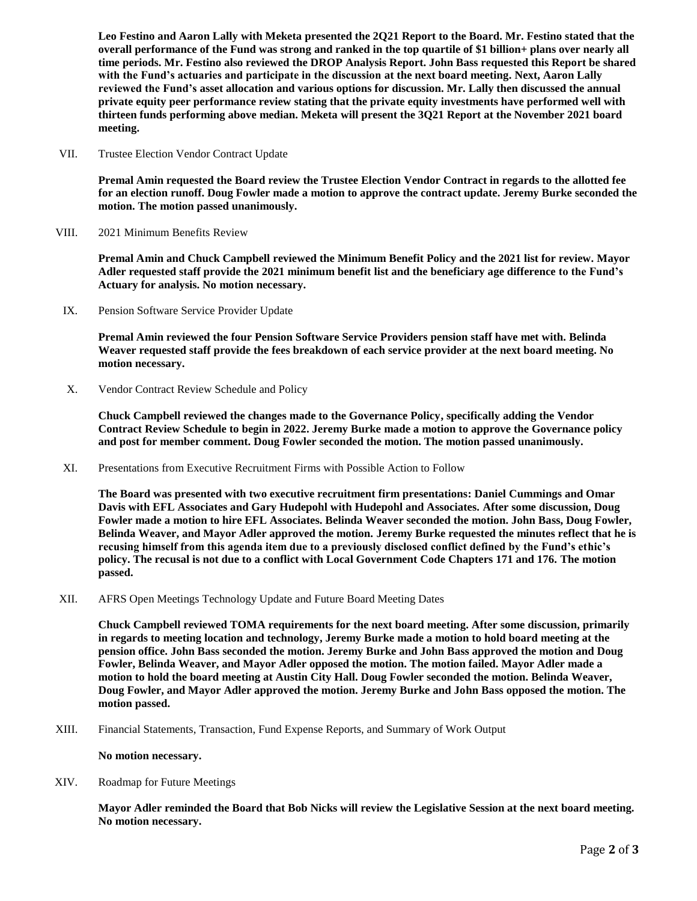**Leo Festino and Aaron Lally with Meketa presented the 2Q21 Report to the Board. Mr. Festino stated that the overall performance of the Fund was strong and ranked in the top quartile of \$1 billion+ plans over nearly all time periods. Mr. Festino also reviewed the DROP Analysis Report. John Bass requested this Report be shared with the Fund's actuaries and participate in the discussion at the next board meeting. Next, Aaron Lally reviewed the Fund's asset allocation and various options for discussion. Mr. Lally then discussed the annual private equity peer performance review stating that the private equity investments have performed well with thirteen funds performing above median. Meketa will present the 3Q21 Report at the November 2021 board meeting.** 

VII. Trustee Election Vendor Contract Update

**Premal Amin requested the Board review the Trustee Election Vendor Contract in regards to the allotted fee for an election runoff. Doug Fowler made a motion to approve the contract update. Jeremy Burke seconded the motion. The motion passed unanimously.** 

VIII. 2021 Minimum Benefits Review

**Premal Amin and Chuck Campbell reviewed the Minimum Benefit Policy and the 2021 list for review. Mayor Adler requested staff provide the 2021 minimum benefit list and the beneficiary age difference to the Fund's Actuary for analysis. No motion necessary.** 

IX. Pension Software Service Provider Update

**Premal Amin reviewed the four Pension Software Service Providers pension staff have met with. Belinda Weaver requested staff provide the fees breakdown of each service provider at the next board meeting. No motion necessary.** 

X. Vendor Contract Review Schedule and Policy

**Chuck Campbell reviewed the changes made to the Governance Policy, specifically adding the Vendor Contract Review Schedule to begin in 2022. Jeremy Burke made a motion to approve the Governance policy and post for member comment. Doug Fowler seconded the motion. The motion passed unanimously.** 

XI. Presentations from Executive Recruitment Firms with Possible Action to Follow

**The Board was presented with two executive recruitment firm presentations: Daniel Cummings and Omar Davis with EFL Associates and Gary Hudepohl with Hudepohl and Associates. After some discussion, Doug Fowler made a motion to hire EFL Associates. Belinda Weaver seconded the motion. John Bass, Doug Fowler, Belinda Weaver, and Mayor Adler approved the motion. Jeremy Burke requested the minutes reflect that he is recusing himself from this agenda item due to a previously disclosed conflict defined by the Fund's ethic's policy. The recusal is not due to a conflict with Local Government Code Chapters 171 and 176. The motion passed.**

XII. AFRS Open Meetings Technology Update and Future Board Meeting Dates

**Chuck Campbell reviewed TOMA requirements for the next board meeting. After some discussion, primarily in regards to meeting location and technology, Jeremy Burke made a motion to hold board meeting at the pension office. John Bass seconded the motion. Jeremy Burke and John Bass approved the motion and Doug Fowler, Belinda Weaver, and Mayor Adler opposed the motion. The motion failed. Mayor Adler made a motion to hold the board meeting at Austin City Hall. Doug Fowler seconded the motion. Belinda Weaver, Doug Fowler, and Mayor Adler approved the motion. Jeremy Burke and John Bass opposed the motion. The motion passed.** 

XIII. Financial Statements, Transaction, Fund Expense Reports, and Summary of Work Output

**No motion necessary.**

XIV. Roadmap for Future Meetings

**Mayor Adler reminded the Board that Bob Nicks will review the Legislative Session at the next board meeting. No motion necessary.**